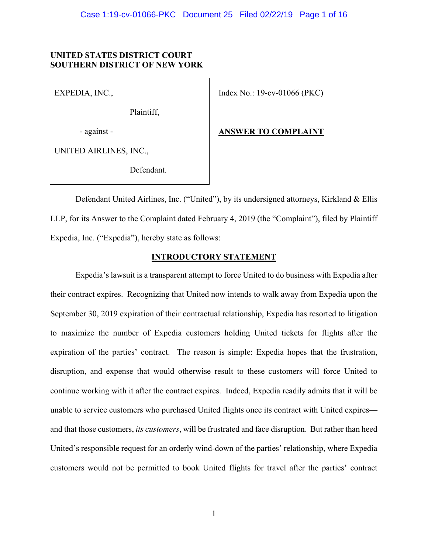## **UNITED STATES DISTRICT COURT SOUTHERN DISTRICT OF NEW YORK**

EXPEDIA, INC.,

Plaintiff,

- against -

Index No.: 19-cv-01066 (PKC)

UNITED AIRLINES, INC.,

Defendant.

# **ANSWER TO COMPLAINT**

 Defendant United Airlines, Inc. ("United"), by its undersigned attorneys, Kirkland & Ellis LLP, for its Answer to the Complaint dated February 4, 2019 (the "Complaint"), filed by Plaintiff Expedia, Inc. ("Expedia"), hereby state as follows:

## **INTRODUCTORY STATEMENT**

 Expedia's lawsuit is a transparent attempt to force United to do business with Expedia after their contract expires. Recognizing that United now intends to walk away from Expedia upon the September 30, 2019 expiration of their contractual relationship, Expedia has resorted to litigation to maximize the number of Expedia customers holding United tickets for flights after the expiration of the parties' contract. The reason is simple: Expedia hopes that the frustration, disruption, and expense that would otherwise result to these customers will force United to continue working with it after the contract expires. Indeed, Expedia readily admits that it will be unable to service customers who purchased United flights once its contract with United expires and that those customers, *its customers*, will be frustrated and face disruption. But rather than heed United's responsible request for an orderly wind-down of the parties' relationship, where Expedia customers would not be permitted to book United flights for travel after the parties' contract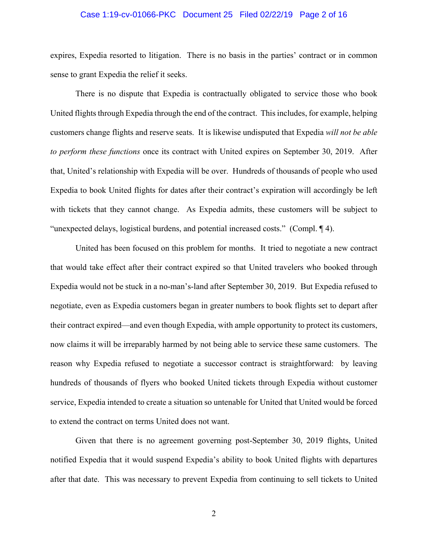## Case 1:19-cv-01066-PKC Document 25 Filed 02/22/19 Page 2 of 16

expires, Expedia resorted to litigation. There is no basis in the parties' contract or in common sense to grant Expedia the relief it seeks.

 There is no dispute that Expedia is contractually obligated to service those who book United flights through Expedia through the end of the contract. This includes, for example, helping customers change flights and reserve seats. It is likewise undisputed that Expedia *will not be able to perform these functions* once its contract with United expires on September 30, 2019. After that, United's relationship with Expedia will be over. Hundreds of thousands of people who used Expedia to book United flights for dates after their contract's expiration will accordingly be left with tickets that they cannot change. As Expedia admits, these customers will be subject to "unexpected delays, logistical burdens, and potential increased costs." (Compl. ¶ 4).

 United has been focused on this problem for months. It tried to negotiate a new contract that would take effect after their contract expired so that United travelers who booked through Expedia would not be stuck in a no-man's-land after September 30, 2019. But Expedia refused to negotiate, even as Expedia customers began in greater numbers to book flights set to depart after their contract expired—and even though Expedia, with ample opportunity to protect its customers, now claims it will be irreparably harmed by not being able to service these same customers. The reason why Expedia refused to negotiate a successor contract is straightforward: by leaving hundreds of thousands of flyers who booked United tickets through Expedia without customer service, Expedia intended to create a situation so untenable for United that United would be forced to extend the contract on terms United does not want.

 Given that there is no agreement governing post-September 30, 2019 flights, United notified Expedia that it would suspend Expedia's ability to book United flights with departures after that date. This was necessary to prevent Expedia from continuing to sell tickets to United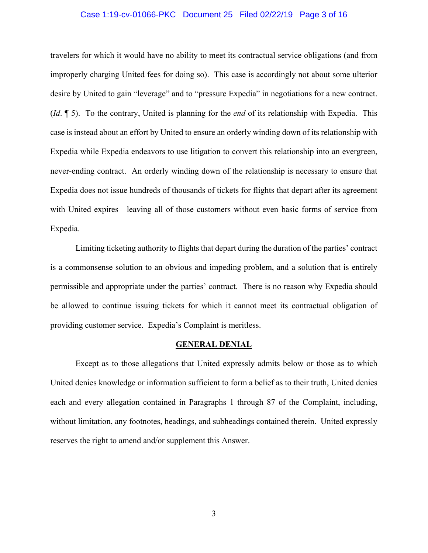## Case 1:19-cv-01066-PKC Document 25 Filed 02/22/19 Page 3 of 16

travelers for which it would have no ability to meet its contractual service obligations (and from improperly charging United fees for doing so). This case is accordingly not about some ulterior desire by United to gain "leverage" and to "pressure Expedia" in negotiations for a new contract. (*Id*. ¶ 5). To the contrary, United is planning for the *end* of its relationship with Expedia. This case is instead about an effort by United to ensure an orderly winding down of its relationship with Expedia while Expedia endeavors to use litigation to convert this relationship into an evergreen, never-ending contract. An orderly winding down of the relationship is necessary to ensure that Expedia does not issue hundreds of thousands of tickets for flights that depart after its agreement with United expires—leaving all of those customers without even basic forms of service from Expedia.

 Limiting ticketing authority to flights that depart during the duration of the parties' contract is a commonsense solution to an obvious and impeding problem, and a solution that is entirely permissible and appropriate under the parties' contract. There is no reason why Expedia should be allowed to continue issuing tickets for which it cannot meet its contractual obligation of providing customer service. Expedia's Complaint is meritless.

#### **GENERAL DENIAL**

 Except as to those allegations that United expressly admits below or those as to which United denies knowledge or information sufficient to form a belief as to their truth, United denies each and every allegation contained in Paragraphs 1 through 87 of the Complaint, including, without limitation, any footnotes, headings, and subheadings contained therein. United expressly reserves the right to amend and/or supplement this Answer.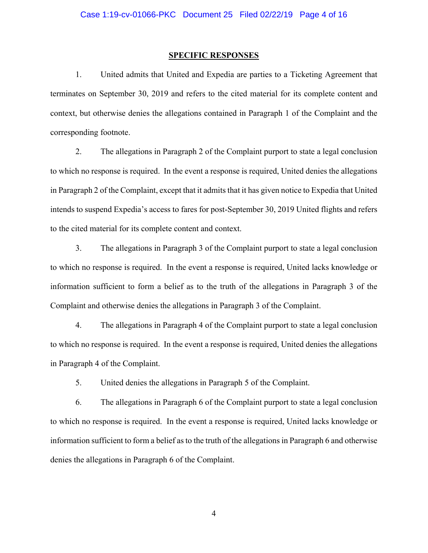### **SPECIFIC RESPONSES**

1. United admits that United and Expedia are parties to a Ticketing Agreement that terminates on September 30, 2019 and refers to the cited material for its complete content and context, but otherwise denies the allegations contained in Paragraph 1 of the Complaint and the corresponding footnote.

2. The allegations in Paragraph 2 of the Complaint purport to state a legal conclusion to which no response is required. In the event a response is required, United denies the allegations in Paragraph 2 of the Complaint, except that it admits that it has given notice to Expedia that United intends to suspend Expedia's access to fares for post-September 30, 2019 United flights and refers to the cited material for its complete content and context.

3. The allegations in Paragraph 3 of the Complaint purport to state a legal conclusion to which no response is required. In the event a response is required, United lacks knowledge or information sufficient to form a belief as to the truth of the allegations in Paragraph 3 of the Complaint and otherwise denies the allegations in Paragraph 3 of the Complaint.

4. The allegations in Paragraph 4 of the Complaint purport to state a legal conclusion to which no response is required. In the event a response is required, United denies the allegations in Paragraph 4 of the Complaint.

5. United denies the allegations in Paragraph 5 of the Complaint.

6. The allegations in Paragraph 6 of the Complaint purport to state a legal conclusion to which no response is required. In the event a response is required, United lacks knowledge or information sufficient to form a belief as to the truth of the allegations in Paragraph 6 and otherwise denies the allegations in Paragraph 6 of the Complaint.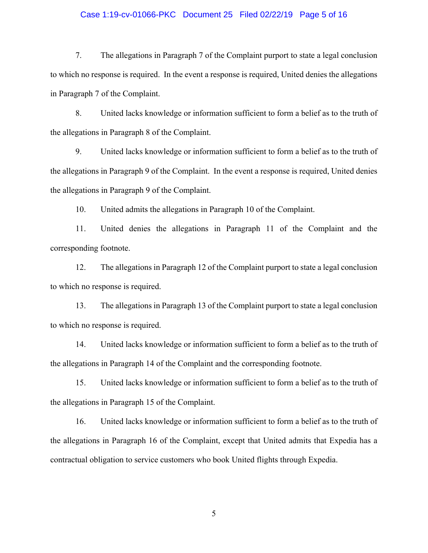## Case 1:19-cv-01066-PKC Document 25 Filed 02/22/19 Page 5 of 16

7. The allegations in Paragraph 7 of the Complaint purport to state a legal conclusion to which no response is required. In the event a response is required, United denies the allegations in Paragraph 7 of the Complaint.

8. United lacks knowledge or information sufficient to form a belief as to the truth of the allegations in Paragraph 8 of the Complaint.

9. United lacks knowledge or information sufficient to form a belief as to the truth of the allegations in Paragraph 9 of the Complaint. In the event a response is required, United denies the allegations in Paragraph 9 of the Complaint.

10. United admits the allegations in Paragraph 10 of the Complaint.

11. United denies the allegations in Paragraph 11 of the Complaint and the corresponding footnote.

12. The allegations in Paragraph 12 of the Complaint purport to state a legal conclusion to which no response is required.

13. The allegations in Paragraph 13 of the Complaint purport to state a legal conclusion to which no response is required.

14. United lacks knowledge or information sufficient to form a belief as to the truth of the allegations in Paragraph 14 of the Complaint and the corresponding footnote.

15. United lacks knowledge or information sufficient to form a belief as to the truth of the allegations in Paragraph 15 of the Complaint.

16. United lacks knowledge or information sufficient to form a belief as to the truth of the allegations in Paragraph 16 of the Complaint, except that United admits that Expedia has a contractual obligation to service customers who book United flights through Expedia.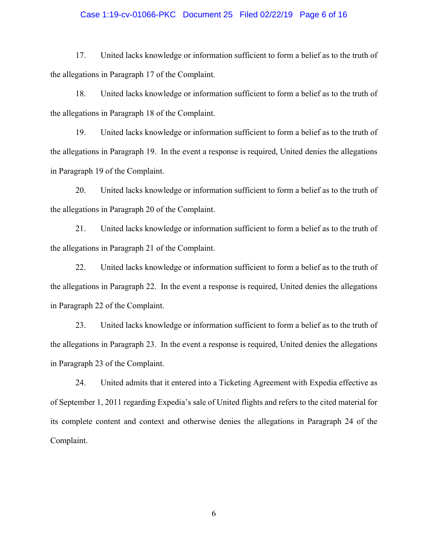## Case 1:19-cv-01066-PKC Document 25 Filed 02/22/19 Page 6 of 16

17. United lacks knowledge or information sufficient to form a belief as to the truth of the allegations in Paragraph 17 of the Complaint.

18. United lacks knowledge or information sufficient to form a belief as to the truth of the allegations in Paragraph 18 of the Complaint.

19. United lacks knowledge or information sufficient to form a belief as to the truth of the allegations in Paragraph 19. In the event a response is required, United denies the allegations in Paragraph 19 of the Complaint.

20. United lacks knowledge or information sufficient to form a belief as to the truth of the allegations in Paragraph 20 of the Complaint.

21. United lacks knowledge or information sufficient to form a belief as to the truth of the allegations in Paragraph 21 of the Complaint.

22. United lacks knowledge or information sufficient to form a belief as to the truth of the allegations in Paragraph 22. In the event a response is required, United denies the allegations in Paragraph 22 of the Complaint.

23. United lacks knowledge or information sufficient to form a belief as to the truth of the allegations in Paragraph 23. In the event a response is required, United denies the allegations in Paragraph 23 of the Complaint.

24. United admits that it entered into a Ticketing Agreement with Expedia effective as of September 1, 2011 regarding Expedia's sale of United flights and refers to the cited material for its complete content and context and otherwise denies the allegations in Paragraph 24 of the Complaint.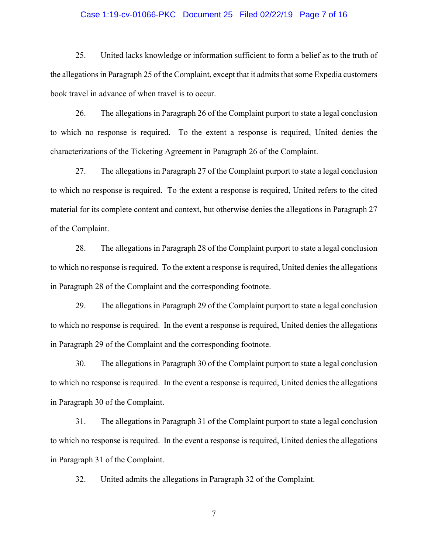#### Case 1:19-cv-01066-PKC Document 25 Filed 02/22/19 Page 7 of 16

25. United lacks knowledge or information sufficient to form a belief as to the truth of the allegations in Paragraph 25 of the Complaint, except that it admits that some Expedia customers book travel in advance of when travel is to occur.

26. The allegations in Paragraph 26 of the Complaint purport to state a legal conclusion to which no response is required. To the extent a response is required, United denies the characterizations of the Ticketing Agreement in Paragraph 26 of the Complaint.

27. The allegations in Paragraph 27 of the Complaint purport to state a legal conclusion to which no response is required. To the extent a response is required, United refers to the cited material for its complete content and context, but otherwise denies the allegations in Paragraph 27 of the Complaint.

28. The allegations in Paragraph 28 of the Complaint purport to state a legal conclusion to which no response is required. To the extent a response is required, United denies the allegations in Paragraph 28 of the Complaint and the corresponding footnote.

29. The allegations in Paragraph 29 of the Complaint purport to state a legal conclusion to which no response is required. In the event a response is required, United denies the allegations in Paragraph 29 of the Complaint and the corresponding footnote.

30. The allegations in Paragraph 30 of the Complaint purport to state a legal conclusion to which no response is required. In the event a response is required, United denies the allegations in Paragraph 30 of the Complaint.

31. The allegations in Paragraph 31 of the Complaint purport to state a legal conclusion to which no response is required. In the event a response is required, United denies the allegations in Paragraph 31 of the Complaint.

32. United admits the allegations in Paragraph 32 of the Complaint.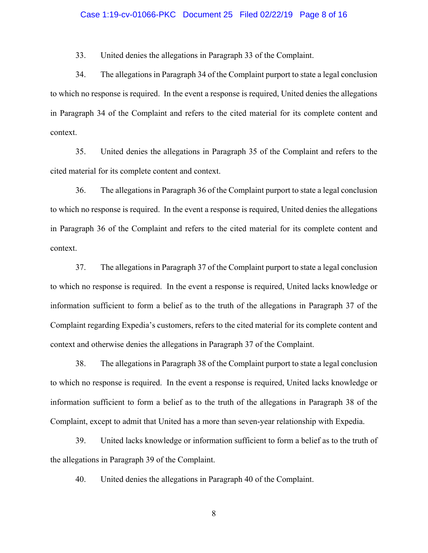### Case 1:19-cv-01066-PKC Document 25 Filed 02/22/19 Page 8 of 16

33. United denies the allegations in Paragraph 33 of the Complaint.

34. The allegations in Paragraph 34 of the Complaint purport to state a legal conclusion to which no response is required. In the event a response is required, United denies the allegations in Paragraph 34 of the Complaint and refers to the cited material for its complete content and context.

35. United denies the allegations in Paragraph 35 of the Complaint and refers to the cited material for its complete content and context.

36. The allegations in Paragraph 36 of the Complaint purport to state a legal conclusion to which no response is required. In the event a response is required, United denies the allegations in Paragraph 36 of the Complaint and refers to the cited material for its complete content and context.

37. The allegations in Paragraph 37 of the Complaint purport to state a legal conclusion to which no response is required. In the event a response is required, United lacks knowledge or information sufficient to form a belief as to the truth of the allegations in Paragraph 37 of the Complaint regarding Expedia's customers, refers to the cited material for its complete content and context and otherwise denies the allegations in Paragraph 37 of the Complaint.

38. The allegations in Paragraph 38 of the Complaint purport to state a legal conclusion to which no response is required. In the event a response is required, United lacks knowledge or information sufficient to form a belief as to the truth of the allegations in Paragraph 38 of the Complaint, except to admit that United has a more than seven-year relationship with Expedia.

39. United lacks knowledge or information sufficient to form a belief as to the truth of the allegations in Paragraph 39 of the Complaint.

40. United denies the allegations in Paragraph 40 of the Complaint.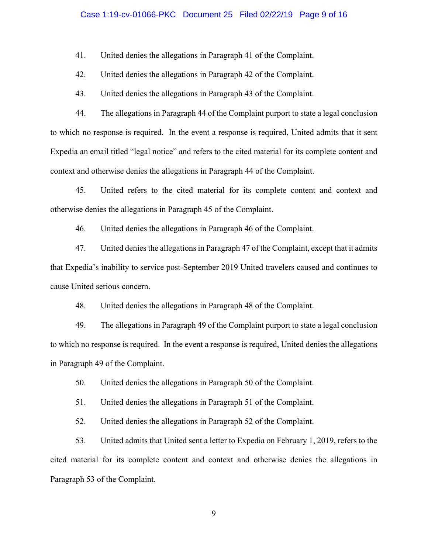## Case 1:19-cv-01066-PKC Document 25 Filed 02/22/19 Page 9 of 16

41. United denies the allegations in Paragraph 41 of the Complaint.

42. United denies the allegations in Paragraph 42 of the Complaint.

43. United denies the allegations in Paragraph 43 of the Complaint.

44. The allegations in Paragraph 44 of the Complaint purport to state a legal conclusion to which no response is required. In the event a response is required, United admits that it sent Expedia an email titled "legal notice" and refers to the cited material for its complete content and context and otherwise denies the allegations in Paragraph 44 of the Complaint.

45. United refers to the cited material for its complete content and context and otherwise denies the allegations in Paragraph 45 of the Complaint.

46. United denies the allegations in Paragraph 46 of the Complaint.

47. United denies the allegations in Paragraph 47 of the Complaint, except that it admits that Expedia's inability to service post-September 2019 United travelers caused and continues to cause United serious concern.

48. United denies the allegations in Paragraph 48 of the Complaint.

49. The allegations in Paragraph 49 of the Complaint purport to state a legal conclusion to which no response is required. In the event a response is required, United denies the allegations in Paragraph 49 of the Complaint.

50. United denies the allegations in Paragraph 50 of the Complaint.

51. United denies the allegations in Paragraph 51 of the Complaint.

52. United denies the allegations in Paragraph 52 of the Complaint.

53. United admits that United sent a letter to Expedia on February 1, 2019, refers to the cited material for its complete content and context and otherwise denies the allegations in Paragraph 53 of the Complaint.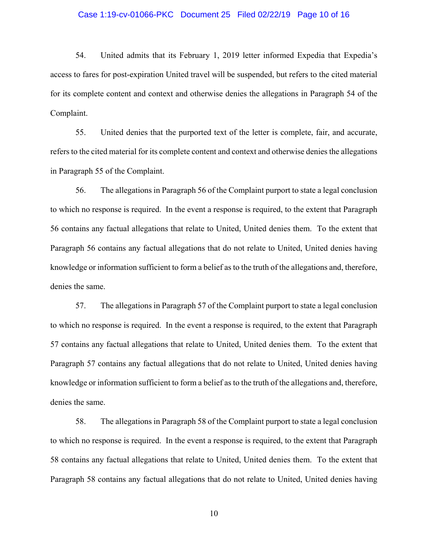#### Case 1:19-cv-01066-PKC Document 25 Filed 02/22/19 Page 10 of 16

54. United admits that its February 1, 2019 letter informed Expedia that Expedia's access to fares for post-expiration United travel will be suspended, but refers to the cited material for its complete content and context and otherwise denies the allegations in Paragraph 54 of the Complaint.

55. United denies that the purported text of the letter is complete, fair, and accurate, refers to the cited material for its complete content and context and otherwise denies the allegations in Paragraph 55 of the Complaint.

56. The allegations in Paragraph 56 of the Complaint purport to state a legal conclusion to which no response is required. In the event a response is required, to the extent that Paragraph 56 contains any factual allegations that relate to United, United denies them. To the extent that Paragraph 56 contains any factual allegations that do not relate to United, United denies having knowledge or information sufficient to form a belief as to the truth of the allegations and, therefore, denies the same.

57. The allegations in Paragraph 57 of the Complaint purport to state a legal conclusion to which no response is required. In the event a response is required, to the extent that Paragraph 57 contains any factual allegations that relate to United, United denies them. To the extent that Paragraph 57 contains any factual allegations that do not relate to United, United denies having knowledge or information sufficient to form a belief as to the truth of the allegations and, therefore, denies the same.

58. The allegations in Paragraph 58 of the Complaint purport to state a legal conclusion to which no response is required. In the event a response is required, to the extent that Paragraph 58 contains any factual allegations that relate to United, United denies them. To the extent that Paragraph 58 contains any factual allegations that do not relate to United, United denies having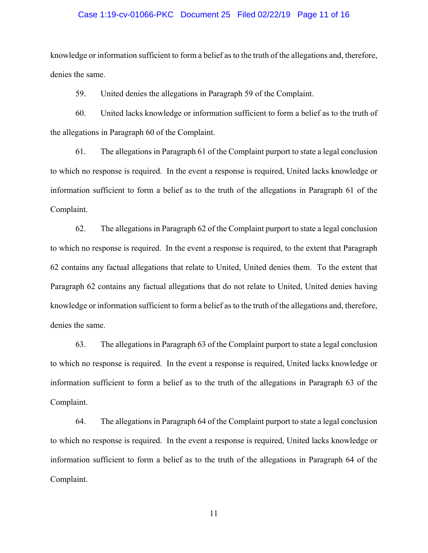#### Case 1:19-cv-01066-PKC Document 25 Filed 02/22/19 Page 11 of 16

knowledge or information sufficient to form a belief as to the truth of the allegations and, therefore, denies the same.

59. United denies the allegations in Paragraph 59 of the Complaint.

60. United lacks knowledge or information sufficient to form a belief as to the truth of the allegations in Paragraph 60 of the Complaint.

61. The allegations in Paragraph 61 of the Complaint purport to state a legal conclusion to which no response is required. In the event a response is required, United lacks knowledge or information sufficient to form a belief as to the truth of the allegations in Paragraph 61 of the Complaint.

62. The allegations in Paragraph 62 of the Complaint purport to state a legal conclusion to which no response is required. In the event a response is required, to the extent that Paragraph 62 contains any factual allegations that relate to United, United denies them. To the extent that Paragraph 62 contains any factual allegations that do not relate to United, United denies having knowledge or information sufficient to form a belief as to the truth of the allegations and, therefore, denies the same.

63. The allegations in Paragraph 63 of the Complaint purport to state a legal conclusion to which no response is required. In the event a response is required, United lacks knowledge or information sufficient to form a belief as to the truth of the allegations in Paragraph 63 of the Complaint.

64. The allegations in Paragraph 64 of the Complaint purport to state a legal conclusion to which no response is required. In the event a response is required, United lacks knowledge or information sufficient to form a belief as to the truth of the allegations in Paragraph 64 of the Complaint.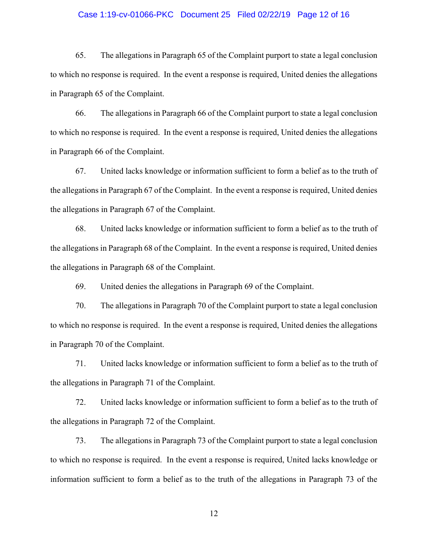## Case 1:19-cv-01066-PKC Document 25 Filed 02/22/19 Page 12 of 16

65. The allegations in Paragraph 65 of the Complaint purport to state a legal conclusion to which no response is required. In the event a response is required, United denies the allegations in Paragraph 65 of the Complaint.

66. The allegations in Paragraph 66 of the Complaint purport to state a legal conclusion to which no response is required. In the event a response is required, United denies the allegations in Paragraph 66 of the Complaint.

67. United lacks knowledge or information sufficient to form a belief as to the truth of the allegations in Paragraph 67 of the Complaint. In the event a response is required, United denies the allegations in Paragraph 67 of the Complaint.

68. United lacks knowledge or information sufficient to form a belief as to the truth of the allegations in Paragraph 68 of the Complaint. In the event a response is required, United denies the allegations in Paragraph 68 of the Complaint.

69. United denies the allegations in Paragraph 69 of the Complaint.

70. The allegations in Paragraph 70 of the Complaint purport to state a legal conclusion to which no response is required. In the event a response is required, United denies the allegations in Paragraph 70 of the Complaint.

71. United lacks knowledge or information sufficient to form a belief as to the truth of the allegations in Paragraph 71 of the Complaint.

72. United lacks knowledge or information sufficient to form a belief as to the truth of the allegations in Paragraph 72 of the Complaint.

73. The allegations in Paragraph 73 of the Complaint purport to state a legal conclusion to which no response is required. In the event a response is required, United lacks knowledge or information sufficient to form a belief as to the truth of the allegations in Paragraph 73 of the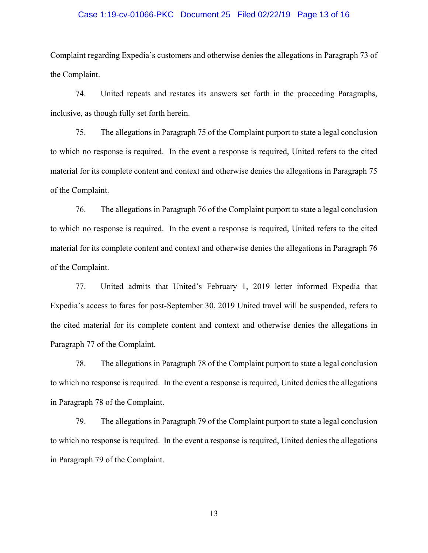#### Case 1:19-cv-01066-PKC Document 25 Filed 02/22/19 Page 13 of 16

Complaint regarding Expedia's customers and otherwise denies the allegations in Paragraph 73 of the Complaint.

74. United repeats and restates its answers set forth in the proceeding Paragraphs, inclusive, as though fully set forth herein.

75. The allegations in Paragraph 75 of the Complaint purport to state a legal conclusion to which no response is required. In the event a response is required, United refers to the cited material for its complete content and context and otherwise denies the allegations in Paragraph 75 of the Complaint.

76. The allegations in Paragraph 76 of the Complaint purport to state a legal conclusion to which no response is required. In the event a response is required, United refers to the cited material for its complete content and context and otherwise denies the allegations in Paragraph 76 of the Complaint.

77. United admits that United's February 1, 2019 letter informed Expedia that Expedia's access to fares for post-September 30, 2019 United travel will be suspended, refers to the cited material for its complete content and context and otherwise denies the allegations in Paragraph 77 of the Complaint.

78. The allegations in Paragraph 78 of the Complaint purport to state a legal conclusion to which no response is required. In the event a response is required, United denies the allegations in Paragraph 78 of the Complaint.

79. The allegations in Paragraph 79 of the Complaint purport to state a legal conclusion to which no response is required. In the event a response is required, United denies the allegations in Paragraph 79 of the Complaint.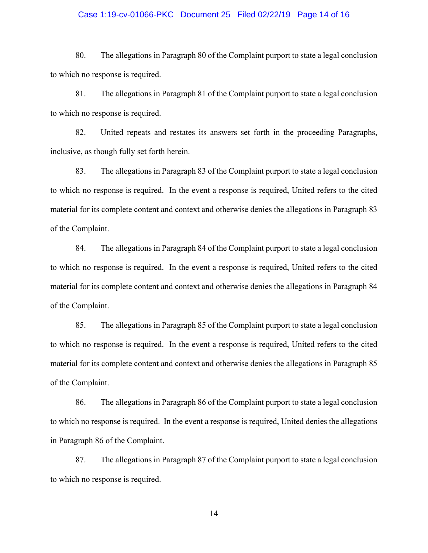#### Case 1:19-cv-01066-PKC Document 25 Filed 02/22/19 Page 14 of 16

80. The allegations in Paragraph 80 of the Complaint purport to state a legal conclusion to which no response is required.

81. The allegations in Paragraph 81 of the Complaint purport to state a legal conclusion to which no response is required.

82. United repeats and restates its answers set forth in the proceeding Paragraphs, inclusive, as though fully set forth herein.

83. The allegations in Paragraph 83 of the Complaint purport to state a legal conclusion to which no response is required. In the event a response is required, United refers to the cited material for its complete content and context and otherwise denies the allegations in Paragraph 83 of the Complaint.

84. The allegations in Paragraph 84 of the Complaint purport to state a legal conclusion to which no response is required. In the event a response is required, United refers to the cited material for its complete content and context and otherwise denies the allegations in Paragraph 84 of the Complaint.

85. The allegations in Paragraph 85 of the Complaint purport to state a legal conclusion to which no response is required. In the event a response is required, United refers to the cited material for its complete content and context and otherwise denies the allegations in Paragraph 85 of the Complaint.

86. The allegations in Paragraph 86 of the Complaint purport to state a legal conclusion to which no response is required. In the event a response is required, United denies the allegations in Paragraph 86 of the Complaint.

87. The allegations in Paragraph 87 of the Complaint purport to state a legal conclusion to which no response is required.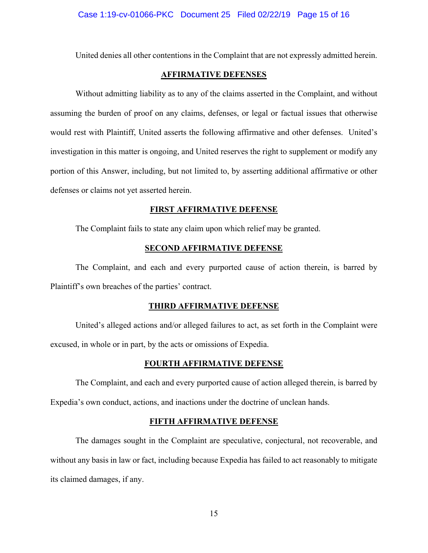United denies all other contentions in the Complaint that are not expressly admitted herein.

## **AFFIRMATIVE DEFENSES**

Without admitting liability as to any of the claims asserted in the Complaint, and without assuming the burden of proof on any claims, defenses, or legal or factual issues that otherwise would rest with Plaintiff, United asserts the following affirmative and other defenses. United's investigation in this matter is ongoing, and United reserves the right to supplement or modify any portion of this Answer, including, but not limited to, by asserting additional affirmative or other defenses or claims not yet asserted herein.

## **FIRST AFFIRMATIVE DEFENSE**

The Complaint fails to state any claim upon which relief may be granted.

## **SECOND AFFIRMATIVE DEFENSE**

 The Complaint, and each and every purported cause of action therein, is barred by Plaintiff's own breaches of the parties' contract.

#### **THIRD AFFIRMATIVE DEFENSE**

United's alleged actions and/or alleged failures to act, as set forth in the Complaint were excused, in whole or in part, by the acts or omissions of Expedia.

## **FOURTH AFFIRMATIVE DEFENSE**

The Complaint, and each and every purported cause of action alleged therein, is barred by Expedia's own conduct, actions, and inactions under the doctrine of unclean hands.

#### **FIFTH AFFIRMATIVE DEFENSE**

The damages sought in the Complaint are speculative, conjectural, not recoverable, and without any basis in law or fact, including because Expedia has failed to act reasonably to mitigate its claimed damages, if any.